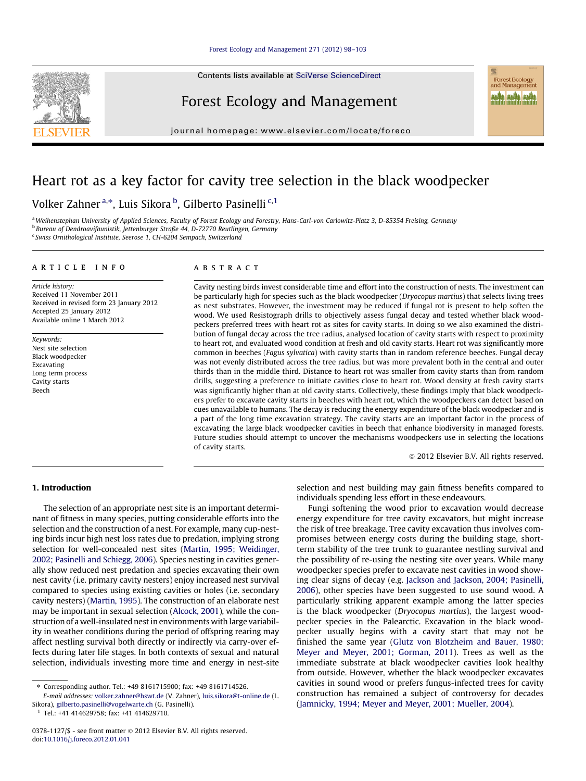Contents lists available at [SciVerse ScienceDirect](http://www.sciencedirect.com/science/journal/03781127)



# Forest Ecology and Management

journal homepage: [www.elsevier.com/locate/foreco](http://www.elsevier.com/locate/foreco)

# Heart rot as a key factor for cavity tree selection in the black woodpecker

# Volker Zahner <sup>a,\*</sup>, Luis Sikora <sup>b</sup>, Gilberto Pasinelli <sup>c,1</sup>

a Weihenstephan University of Applied Sciences, Faculty of Forest Ecology and Forestry, Hans-Carl-von Carlowitz-Platz 3, D-85354 Freising, Germany <sup>b</sup> Bureau of Dendroavifaunistik, Jettenburger Straße 44, D-72770 Reutlingen, Germany <sup>c</sup> Swiss Ornithological Institute, Seerose 1, CH-6204 Sempach, Switzerland

#### article info

Article history: Received 11 November 2011 Received in revised form 23 January 2012 Accepted 25 January 2012 Available online 1 March 2012

Keywords: Nest site selection Black woodpecker Excavating Long term process Cavity starts Beech

#### **ABSTRACT**

Cavity nesting birds invest considerable time and effort into the construction of nests. The investment can be particularly high for species such as the black woodpecker (Dryocopus martius) that selects living trees as nest substrates. However, the investment may be reduced if fungal rot is present to help soften the wood. We used Resistograph drills to objectively assess fungal decay and tested whether black woodpeckers preferred trees with heart rot as sites for cavity starts. In doing so we also examined the distribution of fungal decay across the tree radius, analysed location of cavity starts with respect to proximity to heart rot, and evaluated wood condition at fresh and old cavity starts. Heart rot was significantly more common in beeches (Fagus sylvatica) with cavity starts than in random reference beeches. Fungal decay was not evenly distributed across the tree radius, but was more prevalent both in the central and outer thirds than in the middle third. Distance to heart rot was smaller from cavity starts than from random drills, suggesting a preference to initiate cavities close to heart rot. Wood density at fresh cavity starts was significantly higher than at old cavity starts. Collectively, these findings imply that black woodpeckers prefer to excavate cavity starts in beeches with heart rot, which the woodpeckers can detect based on cues unavailable to humans. The decay is reducing the energy expenditure of the black woodpecker and is a part of the long time excavation strategy. The cavity starts are an important factor in the process of excavating the large black woodpecker cavities in beech that enhance biodiversity in managed forests. Future studies should attempt to uncover the mechanisms woodpeckers use in selecting the locations of cavity starts.

- 2012 Elsevier B.V. All rights reserved.

Forest Ecology<br>and Management anka anka anka

# 1. Introduction

The selection of an appropriate nest site is an important determinant of fitness in many species, putting considerable efforts into the selection and the construction of a nest. For example, many cup-nesting birds incur high nest loss rates due to predation, implying strong selection for well-concealed nest sites ([Martin, 1995; Weidinger,](#page-5-0) [2002; Pasinelli and Schiegg, 2006](#page-5-0)). Species nesting in cavities generally show reduced nest predation and species excavating their own nest cavity (i.e. primary cavity nesters) enjoy increased nest survival compared to species using existing cavities or holes (i.e. secondary cavity nesters) ([Martin, 1995\)](#page-5-0). The construction of an elaborate nest may be important in sexual selection ([Alcock, 2001\)](#page-5-0), while the construction of a well-insulated nest in environments with large variability in weather conditions during the period of offspring rearing may affect nestling survival both directly or indirectly via carry-over effects during later life stages. In both contexts of sexual and natural selection, individuals investing more time and energy in nest-site

E-mail addresses: [volker.zahner@hswt.de](mailto:volker.zahner@hswt.de) (V. Zahner), [luis.sikora@t-online.de](mailto:luis.sikora@t-online.de) (L. Sikora), [gilberto.pasinelli@vogelwarte.ch](mailto:gilberto.pasinelli@vogelwarte.ch) (G. Pasinelli).

<sup>1</sup> Tel.: +41 414629758; fax: +41 414629710.

selection and nest building may gain fitness benefits compared to individuals spending less effort in these endeavours.

Fungi softening the wood prior to excavation would decrease energy expenditure for tree cavity excavators, but might increase the risk of tree breakage. Tree cavity excavation thus involves compromises between energy costs during the building stage, shortterm stability of the tree trunk to guarantee nestling survival and the possibility of re-using the nesting site over years. While many woodpecker species prefer to excavate nest cavities in wood showing clear signs of decay (e.g. [Jackson and Jackson, 2004; Pasinelli,](#page-5-0) [2006\)](#page-5-0), other species have been suggested to use sound wood. A particularly striking apparent example among the latter species is the black woodpecker (Dryocopus martius), the largest woodpecker species in the Palearctic. Excavation in the black woodpecker usually begins with a cavity start that may not be finished the same year ([Glutz von Blotzheim and Bauer, 1980;](#page-5-0) [Meyer and Meyer, 2001; Gorman, 2011](#page-5-0)). Trees as well as the immediate substrate at black woodpecker cavities look healthy from outside. However, whether the black woodpecker excavates cavities in sound wood or prefers fungus-infected trees for cavity construction has remained a subject of controversy for decades ([Jamnicky, 1994; Meyer and Meyer, 2001; Mueller, 2004\)](#page-5-0).

<sup>⇑</sup> Corresponding author. Tel.: +49 8161715900; fax: +49 8161714526.

<sup>0378-1127/\$ -</sup> see front matter © 2012 Elsevier B.V. All rights reserved. doi:[10.1016/j.foreco.2012.01.041](http://dx.doi.org/10.1016/j.foreco.2012.01.041)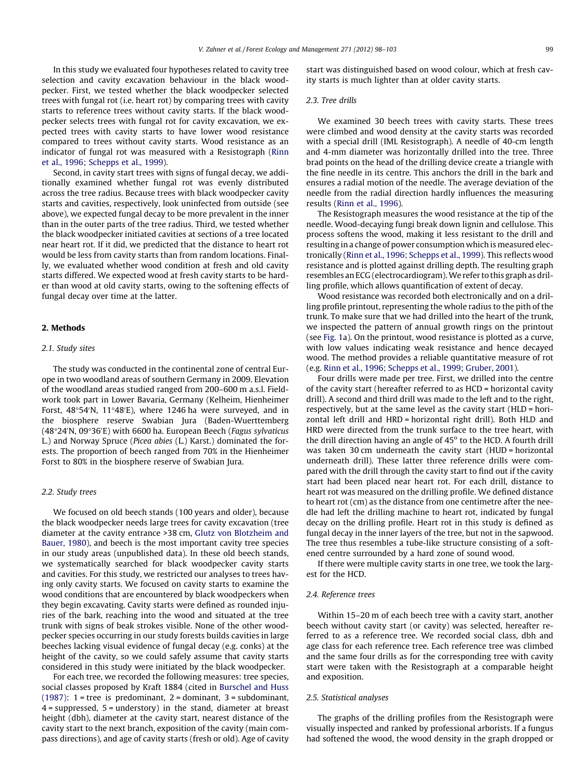In this study we evaluated four hypotheses related to cavity tree selection and cavity excavation behaviour in the black woodpecker. First, we tested whether the black woodpecker selected trees with fungal rot (i.e. heart rot) by comparing trees with cavity starts to reference trees without cavity starts. If the black woodpecker selects trees with fungal rot for cavity excavation, we expected trees with cavity starts to have lower wood resistance compared to trees without cavity starts. Wood resistance as an indicator of fungal rot was measured with a Resistograph [\(Rinn](#page-5-0) [et al., 1996; Schepps et al., 1999\)](#page-5-0).

Second, in cavity start trees with signs of fungal decay, we additionally examined whether fungal rot was evenly distributed across the tree radius. Because trees with black woodpecker cavity starts and cavities, respectively, look uninfected from outside (see above), we expected fungal decay to be more prevalent in the inner than in the outer parts of the tree radius. Third, we tested whether the black woodpecker initiated cavities at sections of a tree located near heart rot. If it did, we predicted that the distance to heart rot would be less from cavity starts than from random locations. Finally, we evaluated whether wood condition at fresh and old cavity starts differed. We expected wood at fresh cavity starts to be harder than wood at old cavity starts, owing to the softening effects of fungal decay over time at the latter.

#### 2. Methods

### 2.1. Study sites

The study was conducted in the continental zone of central Europe in two woodland areas of southern Germany in 2009. Elevation of the woodland areas studied ranged from 200–600 m a.s.l. Fieldwork took part in Lower Bavaria, Germany (Kelheim, Hienheimer Forst, 48°54'N, 11°48'E), where 1246 ha were surveyed, and in the biosphere reserve Swabian Jura (Baden-Wuerttemberg (48°24'N, 09°36'E) with 6600 ha. European Beech (Fagus sylvaticus L.) and Norway Spruce (Picea abies (L.) Karst.) dominated the forests. The proportion of beech ranged from 70% in the Hienheimer Forst to 80% in the biosphere reserve of Swabian Jura.

#### 2.2. Study trees

We focused on old beech stands (100 years and older), because the black woodpecker needs large trees for cavity excavation (tree diameter at the cavity entrance >38 cm, [Glutz von Blotzheim and](#page-5-0) [Bauer, 1980\)](#page-5-0), and beech is the most important cavity tree species in our study areas (unpublished data). In these old beech stands, we systematically searched for black woodpecker cavity starts and cavities. For this study, we restricted our analyses to trees having only cavity starts. We focused on cavity starts to examine the wood conditions that are encountered by black woodpeckers when they begin excavating. Cavity starts were defined as rounded injuries of the bark, reaching into the wood and situated at the tree trunk with signs of beak strokes visible. None of the other woodpecker species occurring in our study forests builds cavities in large beeches lacking visual evidence of fungal decay (e.g. conks) at the height of the cavity, so we could safely assume that cavity starts considered in this study were initiated by the black woodpecker.

For each tree, we recorded the following measures: tree species, social classes proposed by Kraft 1884 (cited in [Burschel and Huss](#page-5-0) [\(1987\):](#page-5-0)  $1 =$  tree is predominant,  $2 =$  dominant,  $3 =$  subdominant,  $4 =$  suppressed,  $5 =$  understory) in the stand, diameter at breast height (dbh), diameter at the cavity start, nearest distance of the cavity start to the next branch, exposition of the cavity (main compass directions), and age of cavity starts (fresh or old). Age of cavity start was distinguished based on wood colour, which at fresh cavity starts is much lighter than at older cavity starts.

#### 2.3. Tree drills

We examined 30 beech trees with cavity starts. These trees were climbed and wood density at the cavity starts was recorded with a special drill (IML Resistograph). A needle of 40-cm length and 4-mm diameter was horizontally drilled into the tree. Three brad points on the head of the drilling device create a triangle with the fine needle in its centre. This anchors the drill in the bark and ensures a radial motion of the needle. The average deviation of the needle from the radial direction hardly influences the measuring results ([Rinn et al., 1996\)](#page-5-0).

The Resistograph measures the wood resistance at the tip of the needle. Wood-decaying fungi break down lignin and cellulose. This process softens the wood, making it less resistant to the drill and resulting in a change of power consumption which is measured electronically [\(Rinn et al., 1996; Schepps et al., 1999\)](#page-5-0). This reflects wood resistance and is plotted against drilling depth. The resulting graph resembles an ECG (electrocardiogram).We refer to this graph as drilling profile, which allows quantification of extent of decay.

Wood resistance was recorded both electronically and on a drilling profile printout, representing the whole radius to the pith of the trunk. To make sure that we had drilled into the heart of the trunk, we inspected the pattern of annual growth rings on the printout (see [Fig. 1a](#page-2-0)). On the printout, wood resistance is plotted as a curve, with low values indicating weak resistance and hence decayed wood. The method provides a reliable quantitative measure of rot (e.g. [Rinn et al., 1996; Schepps et al., 1999; Gruber, 2001\)](#page-5-0).

Four drills were made per tree. First, we drilled into the centre of the cavity start (hereafter referred to as HCD = horizontal cavity drill). A second and third drill was made to the left and to the right, respectively, but at the same level as the cavity start (HLD = horizontal left drill and HRD = horizontal right drill). Both HLD and HRD were directed from the trunk surface to the tree heart, with the drill direction having an angle of  $45^{\circ}$  to the HCD. A fourth drill was taken 30 cm underneath the cavity start (HUD = horizontal underneath drill). These latter three reference drills were compared with the drill through the cavity start to find out if the cavity start had been placed near heart rot. For each drill, distance to heart rot was measured on the drilling profile. We defined distance to heart rot (cm) as the distance from one centimetre after the needle had left the drilling machine to heart rot, indicated by fungal decay on the drilling profile. Heart rot in this study is defined as fungal decay in the inner layers of the tree, but not in the sapwood. The tree thus resembles a tube-like structure consisting of a softened centre surrounded by a hard zone of sound wood.

If there were multiple cavity starts in one tree, we took the largest for the HCD.

#### 2.4. Reference trees

Within 15–20 m of each beech tree with a cavity start, another beech without cavity start (or cavity) was selected, hereafter referred to as a reference tree. We recorded social class, dbh and age class for each reference tree. Each reference tree was climbed and the same four drills as for the corresponding tree with cavity start were taken with the Resistograph at a comparable height and exposition.

#### 2.5. Statistical analyses

The graphs of the drilling profiles from the Resistograph were visually inspected and ranked by professional arborists. If a fungus had softened the wood, the wood density in the graph dropped or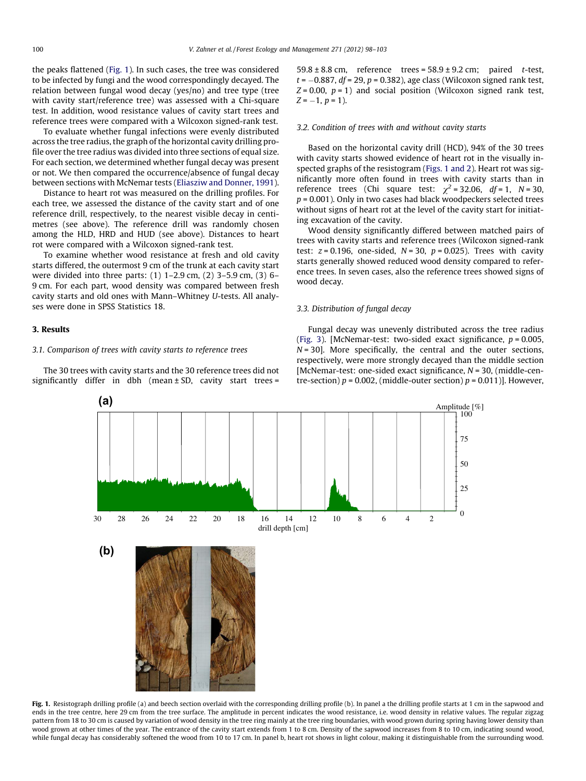<span id="page-2-0"></span>the peaks flattened (Fig. 1). In such cases, the tree was considered to be infected by fungi and the wood correspondingly decayed. The relation between fungal wood decay (yes/no) and tree type (tree with cavity start/reference tree) was assessed with a Chi-square test. In addition, wood resistance values of cavity start trees and reference trees were compared with a Wilcoxon signed-rank test.

To evaluate whether fungal infections were evenly distributed across the tree radius, the graph of the horizontal cavity drilling profile over the tree radius was divided into three sections of equal size. For each section, we determined whether fungal decay was present or not. We then compared the occurrence/absence of fungal decay between sections with McNemar tests ([Eliasziw and Donner, 1991\)](#page-5-0).

Distance to heart rot was measured on the drilling profiles. For each tree, we assessed the distance of the cavity start and of one reference drill, respectively, to the nearest visible decay in centimetres (see above). The reference drill was randomly chosen among the HLD, HRD and HUD (see above). Distances to heart rot were compared with a Wilcoxon signed-rank test.

To examine whether wood resistance at fresh and old cavity starts differed, the outermost 9 cm of the trunk at each cavity start were divided into three parts: (1) 1–2.9 cm, (2) 3–5.9 cm, (3) 6– 9 cm. For each part, wood density was compared between fresh cavity starts and old ones with Mann–Whitney U-tests. All analyses were done in SPSS Statistics 18.

#### 3. Results

# 3.1. Comparison of trees with cavity starts to reference trees

The 30 trees with cavity starts and the 30 reference trees did not significantly differ in dbh (mean  $\pm$  SD, cavity start trees =

 $59.8 \pm 8.8$  cm, reference trees =  $58.9 \pm 9.2$  cm; paired t-test,  $t$  =  $-0.887$ , df = 29, p = 0.382), age class (Wilcoxon signed rank test,  $Z = 0.00$ ,  $p = 1$ ) and social position (Wilcoxon signed rank test,  $Z = -1, p = 1$ ).

#### 3.2. Condition of trees with and without cavity starts

Based on the horizontal cavity drill (HCD), 94% of the 30 trees with cavity starts showed evidence of heart rot in the visually inspected graphs of the resistogram (Figs. 1 and 2). Heart rot was significantly more often found in trees with cavity starts than in reference trees (Chi square test:  $\chi^2$  = 32.06, df = 1, N = 30,  $p = 0.001$ ). Only in two cases had black woodpeckers selected trees without signs of heart rot at the level of the cavity start for initiating excavation of the cavity.

Wood density significantly differed between matched pairs of trees with cavity starts and reference trees (Wilcoxon signed-rank test:  $z = 0.196$ , one-sided,  $N = 30$ ,  $p = 0.025$ ). Trees with cavity starts generally showed reduced wood density compared to reference trees. In seven cases, also the reference trees showed signs of wood decay.

#### 3.3. Distribution of fungal decay

Fungal decay was unevenly distributed across the tree radius ([Fig. 3\)](#page-3-0). [McNemar-test: two-sided exact significance,  $p = 0.005$ ,  $N = 30$ ]. More specifically, the central and the outer sections, respectively, were more strongly decayed than the middle section [McNemar-test: one-sided exact significance,  $N = 30$ , (middle-centre-section)  $p = 0.002$ , (middle-outer section)  $p = 0.011$ )]. However,



Fig. 1. Resistograph drilling profile (a) and beech section overlaid with the corresponding drilling profile (b). In panel a the drilling profile starts at 1 cm in the sapwood and ends in the tree centre, here 29 cm from the tree surface. The amplitude in percent indicates the wood resistance, i.e. wood density in relative values. The regular zigzag pattern from 18 to 30 cm is caused by variation of wood density in the tree ring mainly at the tree ring boundaries, with wood grown during spring having lower density than wood grown at other times of the year. The entrance of the cavity start extends from 1 to 8 cm. Density of the sapwood increases from 8 to 10 cm, indicating sound wood, while fungal decay has considerably softened the wood from 10 to 17 cm. In panel b, heart rot shows in light colour, making it distinguishable from the surrounding wood.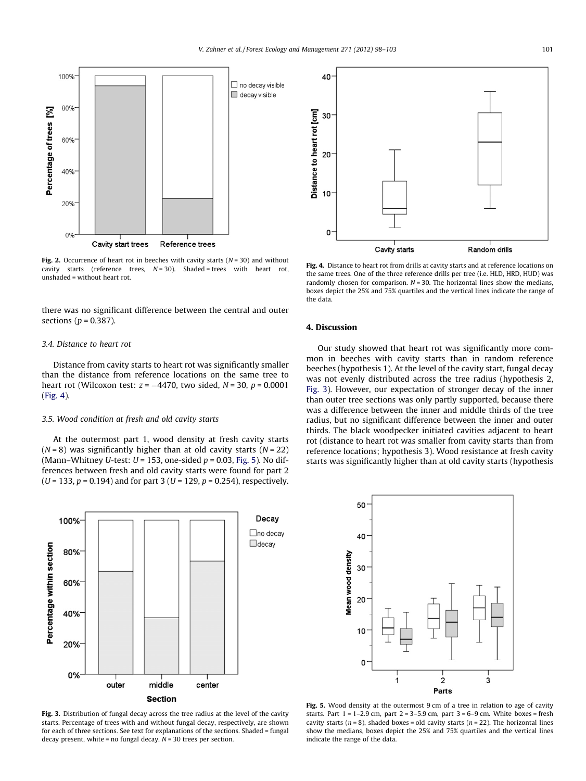<span id="page-3-0"></span>

Fig. 2. Occurrence of heart rot in beeches with cavity starts ( $N = 30$ ) and without cavity starts (reference trees,  $N = 30$ ). Shaded = trees with heart rot, unshaded = without heart rot.

there was no significant difference between the central and outer sections ( $p = 0.387$ ).

# 3.4. Distance to heart rot

Distance from cavity starts to heart rot was significantly smaller than the distance from reference locations on the same tree to heart rot (Wilcoxon test:  $z$  =  $-4470$ , two sided, N = 30,  $p$  = 0.0001 (Fig. 4).

#### 3.5. Wood condition at fresh and old cavity starts

At the outermost part 1, wood density at fresh cavity starts  $(N = 8)$  was significantly higher than at old cavity starts  $(N = 22)$ (Mann–Whitney U-test:  $U = 153$ , one-sided  $p = 0.03$ , Fig. 5). No differences between fresh and old cavity starts were found for part 2  $(U = 133, p = 0.194)$  and for part 3  $(U = 129, p = 0.254)$ , respectively.



Fig. 3. Distribution of fungal decay across the tree radius at the level of the cavity starts. Percentage of trees with and without fungal decay, respectively, are shown for each of three sections. See text for explanations of the sections. Shaded = fungal decay present, white = no fungal decay.  $N = 30$  trees per section.



Fig. 4. Distance to heart rot from drills at cavity starts and at reference locations on the same trees. One of the three reference drills per tree (i.e. HLD, HRD, HUD) was randomly chosen for comparison.  $N = 30$ . The horizontal lines show the medians, boxes depict the 25% and 75% quartiles and the vertical lines indicate the range of the data.

#### 4. Discussion

Our study showed that heart rot was significantly more common in beeches with cavity starts than in random reference beeches (hypothesis 1). At the level of the cavity start, fungal decay was not evenly distributed across the tree radius (hypothesis 2, Fig. 3). However, our expectation of stronger decay of the inner than outer tree sections was only partly supported, because there was a difference between the inner and middle thirds of the tree radius, but no significant difference between the inner and outer thirds. The black woodpecker initiated cavities adjacent to heart rot (distance to heart rot was smaller from cavity starts than from reference locations; hypothesis 3). Wood resistance at fresh cavity starts was significantly higher than at old cavity starts (hypothesis



Fig. 5. Wood density at the outermost 9 cm of a tree in relation to age of cavity starts. Part  $1 = 1-2.9$  cm, part  $2 = 3-5.9$  cm, part  $3 = 6-9$  cm. White boxes = fresh cavity starts ( $n = 8$ ), shaded boxes = old cavity starts ( $n = 22$ ). The horizontal lines show the medians, boxes depict the 25% and 75% quartiles and the vertical lines indicate the range of the data.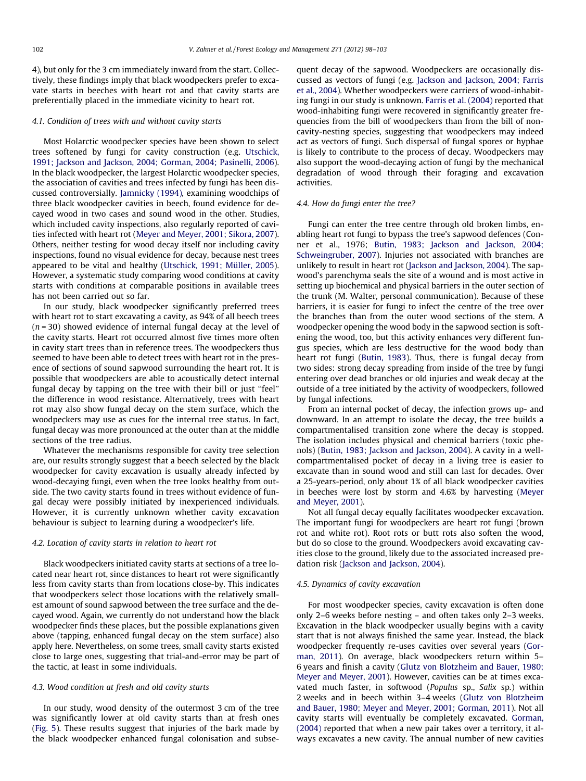4), but only for the 3 cm immediately inward from the start. Collectively, these findings imply that black woodpeckers prefer to excavate starts in beeches with heart rot and that cavity starts are preferentially placed in the immediate vicinity to heart rot.

#### 4.1. Condition of trees with and without cavity starts

Most Holarctic woodpecker species have been shown to select trees softened by fungi for cavity construction (e.g. [Utschick,](#page-5-0) [1991; Jackson and Jackson, 2004; Gorman, 2004; Pasinelli, 2006\)](#page-5-0). In the black woodpecker, the largest Holarctic woodpecker species, the association of cavities and trees infected by fungi has been discussed controversially. [Jamnicky \(1994\),](#page-5-0) examining woodchips of three black woodpecker cavities in beech, found evidence for decayed wood in two cases and sound wood in the other. Studies, which included cavity inspections, also regularly reported of cavities infected with heart rot [\(Meyer and Meyer, 2001; Sikora, 2007\)](#page-5-0). Others, neither testing for wood decay itself nor including cavity inspections, found no visual evidence for decay, because nest trees appeared to be vital and healthy ([Utschick, 1991; Müller, 2005\)](#page-5-0). However, a systematic study comparing wood conditions at cavity starts with conditions at comparable positions in available trees has not been carried out so far.

In our study, black woodpecker significantly preferred trees with heart rot to start excavating a cavity, as 94% of all beech trees  $(n = 30)$  showed evidence of internal fungal decay at the level of the cavity starts. Heart rot occurred almost five times more often in cavity start trees than in reference trees. The woodpeckers thus seemed to have been able to detect trees with heart rot in the presence of sections of sound sapwood surrounding the heart rot. It is possible that woodpeckers are able to acoustically detect internal fungal decay by tapping on the tree with their bill or just "feel" the difference in wood resistance. Alternatively, trees with heart rot may also show fungal decay on the stem surface, which the woodpeckers may use as cues for the internal tree status. In fact, fungal decay was more pronounced at the outer than at the middle sections of the tree radius.

Whatever the mechanisms responsible for cavity tree selection are, our results strongly suggest that a beech selected by the black woodpecker for cavity excavation is usually already infected by wood-decaying fungi, even when the tree looks healthy from outside. The two cavity starts found in trees without evidence of fungal decay were possibly initiated by inexperienced individuals. However, it is currently unknown whether cavity excavation behaviour is subject to learning during a woodpecker's life.

#### 4.2. Location of cavity starts in relation to heart rot

Black woodpeckers initiated cavity starts at sections of a tree located near heart rot, since distances to heart rot were significantly less from cavity starts than from locations close-by. This indicates that woodpeckers select those locations with the relatively smallest amount of sound sapwood between the tree surface and the decayed wood. Again, we currently do not understand how the black woodpecker finds these places, but the possible explanations given above (tapping, enhanced fungal decay on the stem surface) also apply here. Nevertheless, on some trees, small cavity starts existed close to large ones, suggesting that trial-and-error may be part of the tactic, at least in some individuals.

### 4.3. Wood condition at fresh and old cavity starts

In our study, wood density of the outermost 3 cm of the tree was significantly lower at old cavity starts than at fresh ones ([Fig. 5](#page-3-0)). These results suggest that injuries of the bark made by the black woodpecker enhanced fungal colonisation and subsequent decay of the sapwood. Woodpeckers are occasionally discussed as vectors of fungi (e.g. [Jackson and Jackson, 2004; Farris](#page-5-0) [et al., 2004\)](#page-5-0). Whether woodpeckers were carriers of wood-inhabiting fungi in our study is unknown. [Farris et al. \(2004\)](#page-5-0) reported that wood-inhabiting fungi were recovered in significantly greater frequencies from the bill of woodpeckers than from the bill of noncavity-nesting species, suggesting that woodpeckers may indeed act as vectors of fungi. Such dispersal of fungal spores or hyphae is likely to contribute to the process of decay. Woodpeckers may also support the wood-decaying action of fungi by the mechanical degradation of wood through their foraging and excavation activities.

## 4.4. How do fungi enter the tree?

Fungi can enter the tree centre through old broken limbs, enabling heart rot fungi to bypass the tree's sapwood defences (Conner et al., 1976; [Butin, 1983; Jackson and Jackson, 2004;](#page-5-0) [Schweingruber, 2007\)](#page-5-0). Injuries not associated with branches are unlikely to result in heart rot ([Jackson and Jackson, 2004\)](#page-5-0). The sapwood's parenchyma seals the site of a wound and is most active in setting up biochemical and physical barriers in the outer section of the trunk (M. Walter, personal communication). Because of these barriers, it is easier for fungi to infect the centre of the tree over the branches than from the outer wood sections of the stem. A woodpecker opening the wood body in the sapwood section is softening the wood, too, but this activity enhances very different fungus species, which are less destructive for the wood body than heart rot fungi ([Butin, 1983](#page-5-0)). Thus, there is fungal decay from two sides: strong decay spreading from inside of the tree by fungi entering over dead branches or old injuries and weak decay at the outside of a tree initiated by the activity of woodpeckers, followed by fungal infections.

From an internal pocket of decay, the infection grows up- and downward. In an attempt to isolate the decay, the tree builds a compartmentalised transition zone where the decay is stopped. The isolation includes physical and chemical barriers (toxic phenols) [\(Butin, 1983; Jackson and Jackson, 2004](#page-5-0)). A cavity in a wellcompartmentalised pocket of decay in a living tree is easier to excavate than in sound wood and still can last for decades. Over a 25-years-period, only about 1% of all black woodpecker cavities in beeches were lost by storm and 4.6% by harvesting ([Meyer](#page-5-0) [and Meyer, 2001\)](#page-5-0).

Not all fungal decay equally facilitates woodpecker excavation. The important fungi for woodpeckers are heart rot fungi (brown rot and white rot). Root rots or butt rots also soften the wood, but do so close to the ground. Woodpeckers avoid excavating cavities close to the ground, likely due to the associated increased predation risk [\(Jackson and Jackson, 2004\)](#page-5-0).

#### 4.5. Dynamics of cavity excavation

For most woodpecker species, cavity excavation is often done only 2–6 weeks before nesting – and often takes only 2–3 weeks. Excavation in the black woodpecker usually begins with a cavity start that is not always finished the same year. Instead, the black woodpecker frequently re-uses cavities over several years ([Gor](#page-5-0)[man, 2011](#page-5-0)). On average, black woodpeckers return within 5– 6 years and finish a cavity [\(Glutz von Blotzheim and Bauer, 1980;](#page-5-0) [Meyer and Meyer, 2001\)](#page-5-0). However, cavities can be at times excavated much faster, in softwood (Populus sp., Salix sp.) within 2 weeks and in beech within 3–4 weeks ([Glutz von Blotzheim](#page-5-0) [and Bauer, 1980; Meyer and Meyer, 2001; Gorman, 2011\)](#page-5-0). Not all cavity starts will eventually be completely excavated. [Gorman,](#page-5-0) [\(2004\)](#page-5-0) reported that when a new pair takes over a territory, it always excavates a new cavity. The annual number of new cavities